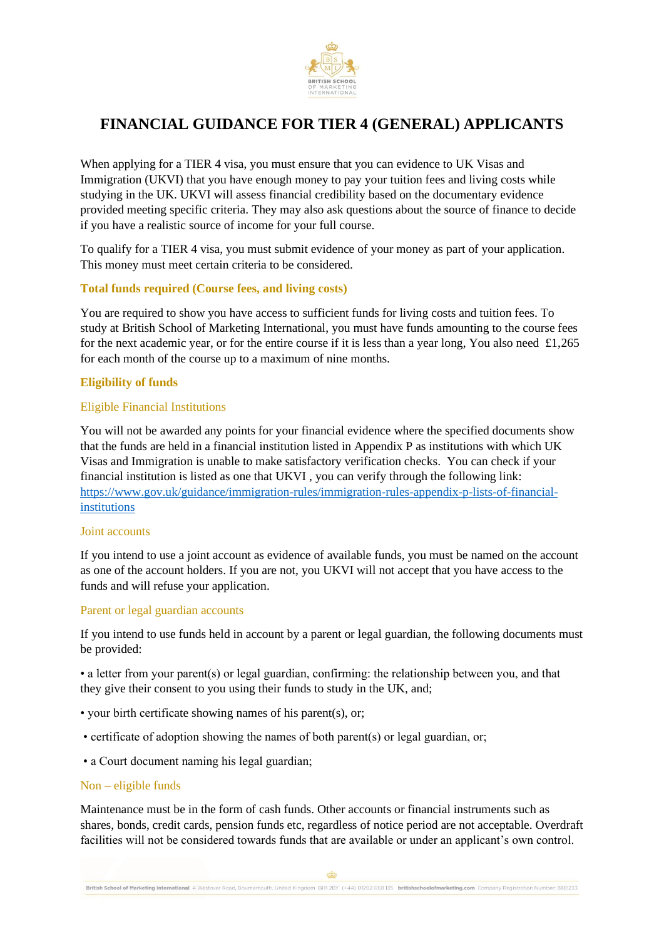

When applying for a TIER 4 visa, you must ensure that you can evidence to UK Visas and Immigration (UKVI) that you have enough money to pay your tuition fees and living costs while studying in the UK. UKVI will assess financial credibility based on the documentary evidence provided meeting specific criteria. They may also ask questions about the source of finance to decide if you have a realistic source of income for your full course.

To qualify for a TIER 4 visa, you must submit evidence of your money as part of your application. This money must meet certain criteria to be considered.

## **Total funds required (Course fees, and living costs)**

You are required to show you have access to sufficient funds for living costs and tuition fees. To study at British School of Marketing International, you must have funds amounting to the course fees for the next academic year, or for the entire course if it is less than a year long, You also need £1,265 for each month of the course up to a maximum of nine months.

## **Eligibility of funds**

### Eligible Financial Institutions

You will not be awarded any points for your financial evidence where the specified documents show that the funds are held in a financial institution listed in Appendix P as institutions with which UK Visas and Immigration is unable to make satisfactory verification checks. You can check if your financial institution is listed as one that UKVI , you can verify through the following link: [https://www.gov.uk/guidance/immigration-rules/immigration-rules-appendix-p-lists-of-financial](https://www.gov.uk/guidance/immigration-rules/immigration-rules-appendix-p-lists-of-financial-institutions)[institutions](https://www.gov.uk/guidance/immigration-rules/immigration-rules-appendix-p-lists-of-financial-institutions)

### Joint accounts

If you intend to use a joint account as evidence of available funds, you must be named on the account as one of the account holders. If you are not, you UKVI will not accept that you have access to the funds and will refuse your application.

### Parent or legal guardian accounts

If you intend to use funds held in account by a parent or legal guardian, the following documents must be provided:

• a letter from your parent(s) or legal guardian, confirming: the relationship between you, and that they give their consent to you using their funds to study in the UK, and;

- your birth certificate showing names of his parent(s), or;
- certificate of adoption showing the names of both parent(s) or legal guardian, or;
- a Court document naming his legal guardian;

#### Non – eligible funds

Maintenance must be in the form of cash funds. Other accounts or financial instruments such as shares, bonds, credit cards, pension funds etc, regardless of notice period are not acceptable. Overdraft facilities will not be considered towards funds that are available or under an applicant's own control.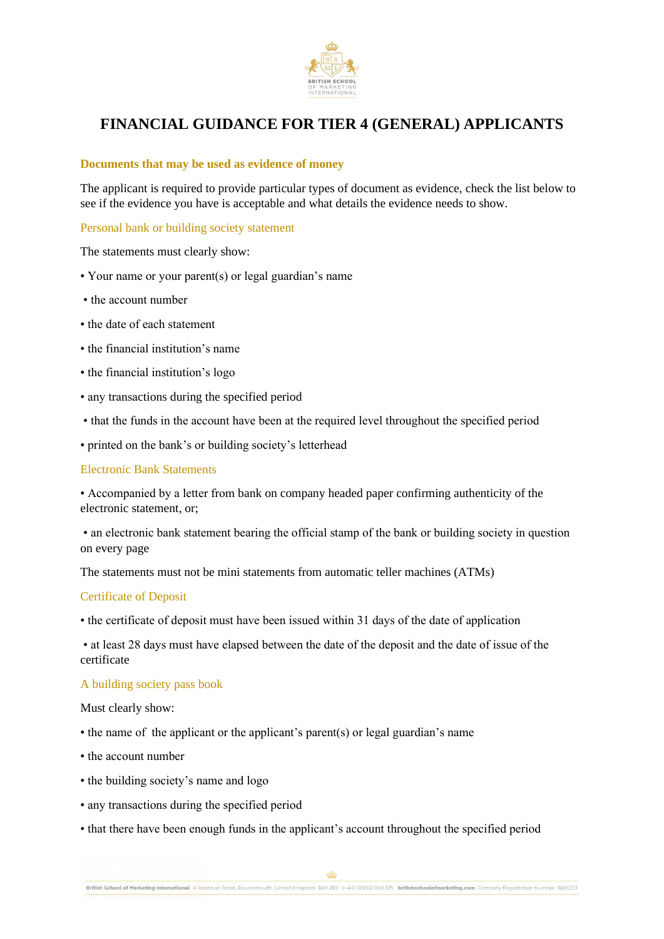

### **Documents that may be used as evidence of money**

The applicant is required to provide particular types of document as evidence, check the list below to see if the evidence you have is acceptable and what details the evidence needs to show.

Personal bank or building society statement

The statements must clearly show:

- Your name or your parent(s) or legal guardian's name
- the account number
- the date of each statement
- the financial institution's name
- the financial institution's logo
- any transactions during the specified period
- that the funds in the account have been at the required level throughout the specified period
- printed on the bank's or building society's letterhead

### Electronic Bank Statements

• Accompanied by a letter from bank on company headed paper confirming authenticity of the electronic statement, or;

• an electronic bank statement bearing the official stamp of the bank or building society in question on every page

The statements must not be mini statements from automatic teller machines (ATMs)

### Certificate of Deposit

• the certificate of deposit must have been issued within 31 days of the date of application

• at least 28 days must have elapsed between the date of the deposit and the date of issue of the certificate

#### A building society pass book

Must clearly show:

- the name of the applicant or the applicant's parent(s) or legal guardian's name
- the account number
- the building society's name and logo
- any transactions during the specified period
- that there have been enough funds in the applicant's account throughout the specified period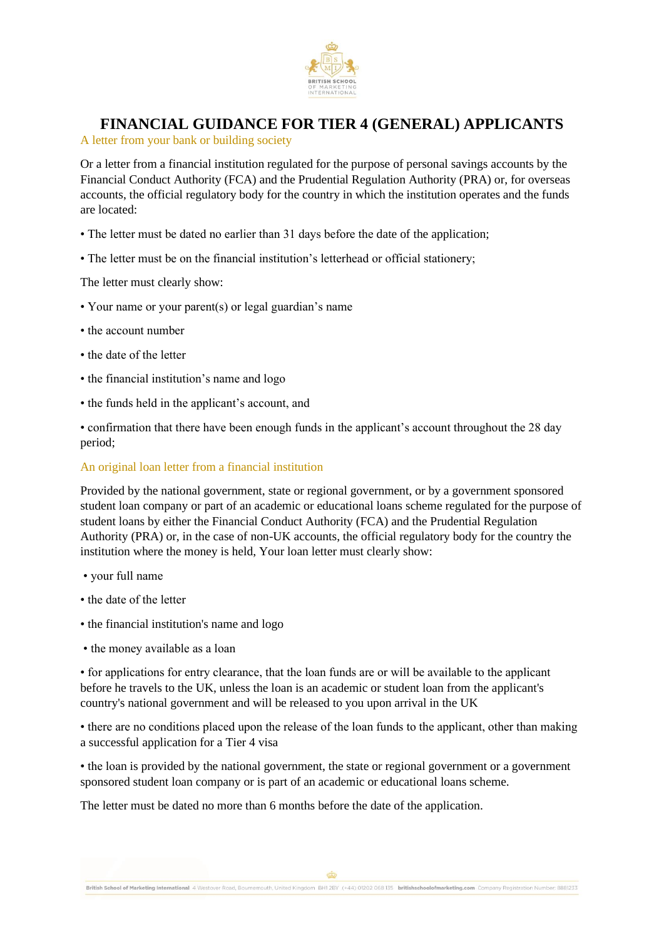

A letter from your bank or building society

Or a letter from a financial institution regulated for the purpose of personal savings accounts by the Financial Conduct Authority (FCA) and the Prudential Regulation Authority (PRA) or, for overseas accounts, the official regulatory body for the country in which the institution operates and the funds are located:

- The letter must be dated no earlier than 31 days before the date of the application;
- The letter must be on the financial institution's letterhead or official stationery;

The letter must clearly show:

- Your name or your parent(s) or legal guardian's name
- the account number
- the date of the letter
- the financial institution's name and logo
- the funds held in the applicant's account, and

• confirmation that there have been enough funds in the applicant's account throughout the 28 day period;

### An original loan letter from a financial institution

Provided by the national government, state or regional government, or by a government sponsored student loan company or part of an academic or educational loans scheme regulated for the purpose of student loans by either the Financial Conduct Authority (FCA) and the Prudential Regulation Authority (PRA) or, in the case of non-UK accounts, the official regulatory body for the country the institution where the money is held, Your loan letter must clearly show:

- your full name
- the date of the letter
- the financial institution's name and logo
- the money available as a loan

• for applications for entry clearance, that the loan funds are or will be available to the applicant before he travels to the UK, unless the loan is an academic or student loan from the applicant's country's national government and will be released to you upon arrival in the UK

• there are no conditions placed upon the release of the loan funds to the applicant, other than making a successful application for a Tier 4 visa

• the loan is provided by the national government, the state or regional government or a government sponsored student loan company or is part of an academic or educational loans scheme.

The letter must be dated no more than 6 months before the date of the application.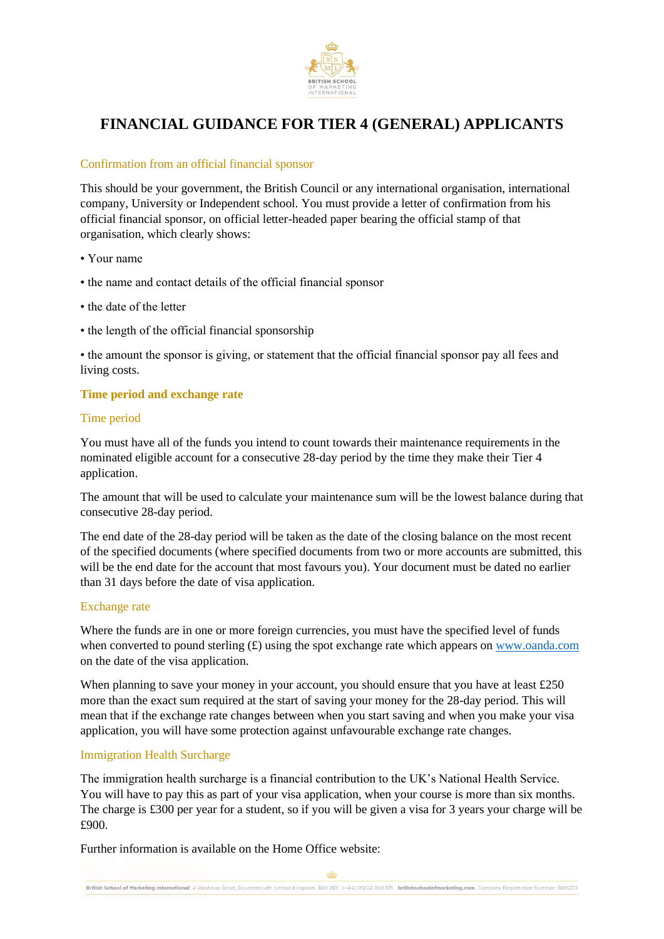

### Confirmation from an official financial sponsor

This should be your government, the British Council or any international organisation, international company, University or Independent school. You must provide a letter of confirmation from his official financial sponsor, on official letter-headed paper bearing the official stamp of that organisation, which clearly shows:

- Your name
- the name and contact details of the official financial sponsor
- the date of the letter
- the length of the official financial sponsorship

• the amount the sponsor is giving, or statement that the official financial sponsor pay all fees and living costs.

### **Time period and exchange rate**

### Time period

You must have all of the funds you intend to count towards their maintenance requirements in the nominated eligible account for a consecutive 28-day period by the time they make their Tier 4 application.

The amount that will be used to calculate your maintenance sum will be the lowest balance during that consecutive 28-day period.

The end date of the 28-day period will be taken as the date of the closing balance on the most recent of the specified documents (where specified documents from two or more accounts are submitted, this will be the end date for the account that most favours you). Your document must be dated no earlier than 31 days before the date of visa application.

### Exchange rate

Where the funds are in one or more foreign currencies, you must have the specified level of funds when converted to pound sterling  $(E)$  using the spot exchange rate which appears on [www.oanda.com](http://www.oanda.com/) on the date of the visa application.

When planning to save your money in your account, you should ensure that you have at least £250 more than the exact sum required at the start of saving your money for the 28-day period. This will mean that if the exchange rate changes between when you start saving and when you make your visa application, you will have some protection against unfavourable exchange rate changes.

### Immigration Health Surcharge

The immigration health surcharge is a financial contribution to the UK's National Health Service. You will have to pay this as part of your visa application, when your course is more than six months. The charge is £300 per year for a student, so if you will be given a visa for 3 years your charge will be £900.

Further information is available on the Home Office website: